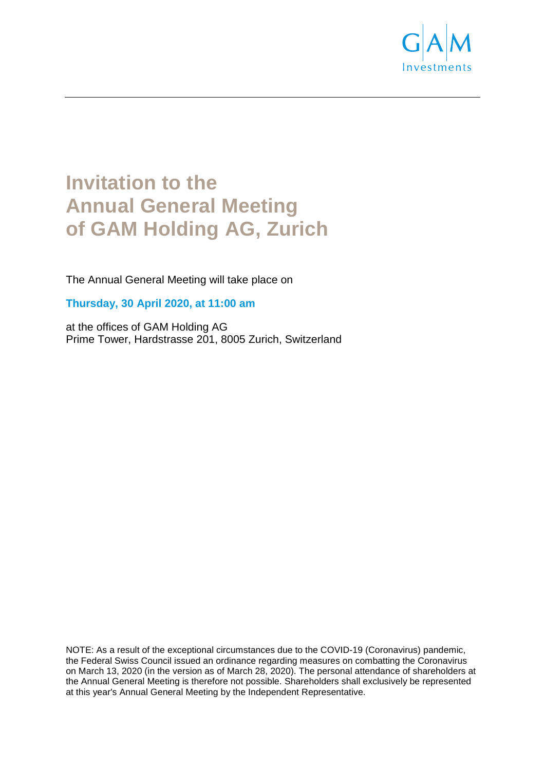

# **Invitation to the Annual General Meeting of GAM Holding AG, Zurich**

The Annual General Meeting will take place on

**Thursday, 30 April 2020, at 11:00 am** 

at the offices of GAM Holding AG Prime Tower, Hardstrasse 201, 8005 Zurich, Switzerland

NOTE: As a result of the exceptional circumstances due to the COVID-19 (Coronavirus) pandemic, the Federal Swiss Council issued an ordinance regarding measures on combatting the Coronavirus on March 13, 2020 (in the version as of March 28, 2020). The personal attendance of shareholders at the Annual General Meeting is therefore not possible. Shareholders shall exclusively be represented at this year's Annual General Meeting by the Independent Representative.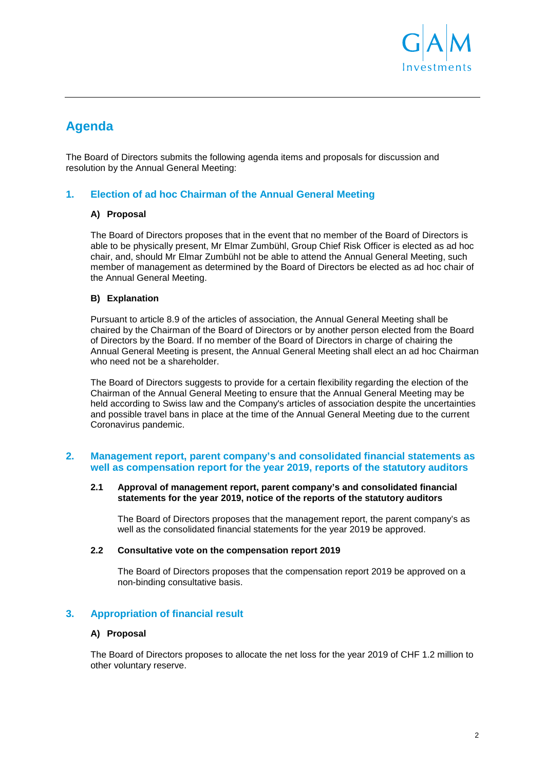

# **Agenda**

The Board of Directors submits the following agenda items and proposals for discussion and resolution by the Annual General Meeting:

# **1. Election of ad hoc Chairman of the Annual General Meeting**

#### **A) Proposal**

The Board of Directors proposes that in the event that no member of the Board of Directors is able to be physically present, Mr Elmar Zumbühl, Group Chief Risk Officer is elected as ad hoc chair, and, should Mr Elmar Zumbühl not be able to attend the Annual General Meeting, such member of management as determined by the Board of Directors be elected as ad hoc chair of the Annual General Meeting.

#### **B) Explanation**

Pursuant to article 8.9 of the articles of association, the Annual General Meeting shall be chaired by the Chairman of the Board of Directors or by another person elected from the Board of Directors by the Board. If no member of the Board of Directors in charge of chairing the Annual General Meeting is present, the Annual General Meeting shall elect an ad hoc Chairman who need not be a shareholder.

The Board of Directors suggests to provide for a certain flexibility regarding the election of the Chairman of the Annual General Meeting to ensure that the Annual General Meeting may be held according to Swiss law and the Company's articles of association despite the uncertainties and possible travel bans in place at the time of the Annual General Meeting due to the current Coronavirus pandemic.

#### **2. Management report, parent company's and consolidated financial statements as well as compensation report for the year 2019, reports of the statutory auditors**

#### **2.1 Approval of management report, parent company's and consolidated financial statements for the year 2019, notice of the reports of the statutory auditors**

The Board of Directors proposes that the management report, the parent company's as well as the consolidated financial statements for the year 2019 be approved.

#### **2.2 Consultative vote on the compensation report 2019**

The Board of Directors proposes that the compensation report 2019 be approved on a non-binding consultative basis.

#### **3. Appropriation of financial result**

#### **A) Proposal**

The Board of Directors proposes to allocate the net loss for the year 2019 of CHF 1.2 million to other voluntary reserve.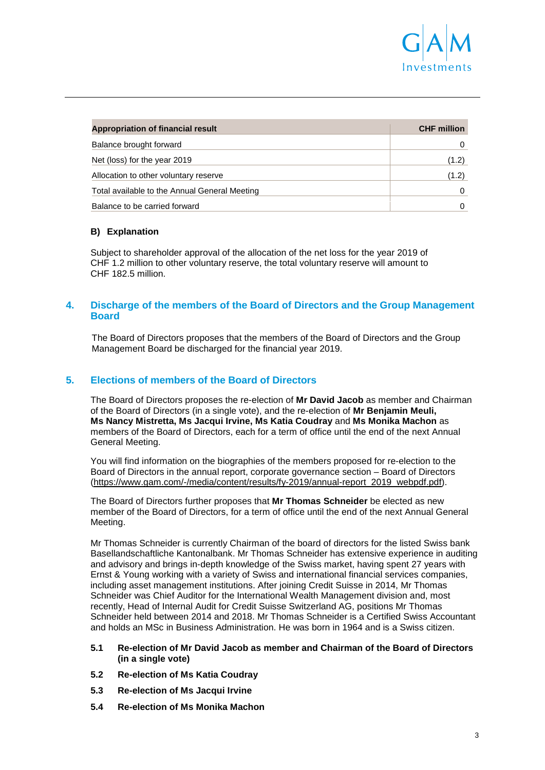

| Appropriation of financial result             | <b>CHF million</b> |
|-----------------------------------------------|--------------------|
| Balance brought forward                       |                    |
| Net (loss) for the year 2019                  | (1.2)              |
| Allocation to other voluntary reserve         | (1.2)              |
| Total available to the Annual General Meeting |                    |
| Balance to be carried forward                 |                    |

#### **B) Explanation**

Subject to shareholder approval of the allocation of the net loss for the year 2019 of CHF 1.2 million to other voluntary reserve, the total voluntary reserve will amount to CHF 182.5 million.

#### **4. Discharge of the members of the Board of Directors and the Group Management Board**

The Board of Directors proposes that the members of the Board of Directors and the Group Management Board be discharged for the financial year 2019.

#### **5. Elections of members of the Board of Directors**

The Board of Directors proposes the re-election of **Mr David Jacob** as member and Chairman of the Board of Directors (in a single vote), and the re-election of **Mr Benjamin Meuli, Ms Nancy Mistretta, Ms Jacqui Irvine, Ms Katia Coudray** and **Ms Monika Machon** as members of the Board of Directors, each for a term of office until the end of the next Annual General Meeting.

You will find information on the biographies of the members proposed for re-election to the Board of Directors in the annual report, corporate governance section – Board of Directors (https://www.gam.com/-/media/content/results/fy-2019/annual-report\_2019\_webpdf.pdf).

The Board of Directors further proposes that **Mr Thomas Schneider** be elected as new member of the Board of Directors, for a term of office until the end of the next Annual General Meeting.

Mr Thomas Schneider is currently Chairman of the board of directors for the listed Swiss bank Basellandschaftliche Kantonalbank. Mr Thomas Schneider has extensive experience in auditing and advisory and brings in-depth knowledge of the Swiss market, having spent 27 years with Ernst & Young working with a variety of Swiss and international financial services companies, including asset management institutions. After joining Credit Suisse in 2014, Mr Thomas Schneider was Chief Auditor for the International Wealth Management division and, most recently, Head of Internal Audit for Credit Suisse Switzerland AG, positions Mr Thomas Schneider held between 2014 and 2018. Mr Thomas Schneider is a Certified Swiss Accountant and holds an MSc in Business Administration. He was born in 1964 and is a Swiss citizen.

#### **5.1 Re-election of Mr David Jacob as member and Chairman of the Board of Directors (in a single vote)**

- **5.2 Re-election of Ms Katia Coudray**
- **5.3 Re-election of Ms Jacqui Irvine**
- **5.4 Re-election of Ms Monika Machon**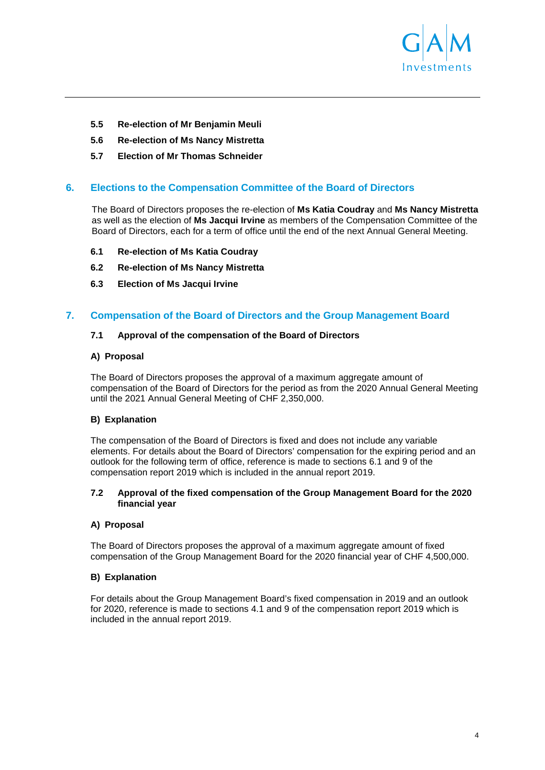

- **5.5 Re-election of Mr Benjamin Meuli**
- **5.6 Re-election of Ms Nancy Mistretta**
- **5.7 Election of Mr Thomas Schneider**

# **6. Elections to the Compensation Committee of the Board of Directors**

The Board of Directors proposes the re-election of **Ms Katia Coudray** and **Ms Nancy Mistretta**  as well as the election of **Ms Jacqui Irvine** as members of the Compensation Committee of the Board of Directors, each for a term of office until the end of the next Annual General Meeting.

- **6.1 Re-election of Ms Katia Coudray**
- **6.2 Re-election of Ms Nancy Mistretta**
- **6.3 Election of Ms Jacqui Irvine**

# **7. Compensation of the Board of Directors and the Group Management Board**

#### **7.1 Approval of the compensation of the Board of Directors**

#### **A) Proposal**

The Board of Directors proposes the approval of a maximum aggregate amount of compensation of the Board of Directors for the period as from the 2020 Annual General Meeting until the 2021 Annual General Meeting of CHF 2,350,000.

#### **B) Explanation**

The compensation of the Board of Directors is fixed and does not include any variable elements. For details about the Board of Directors' compensation for the expiring period and an outlook for the following term of office, reference is made to sections 6.1 and 9 of the compensation report 2019 which is included in the annual report 2019.

#### **7.2 Approval of the fixed compensation of the Group Management Board for the 2020 financial year**

#### **A) Proposal**

The Board of Directors proposes the approval of a maximum aggregate amount of fixed compensation of the Group Management Board for the 2020 financial year of CHF 4,500,000.

#### **B) Explanation**

For details about the Group Management Board's fixed compensation in 2019 and an outlook for 2020, reference is made to sections 4.1 and 9 of the compensation report 2019 which is included in the annual report 2019.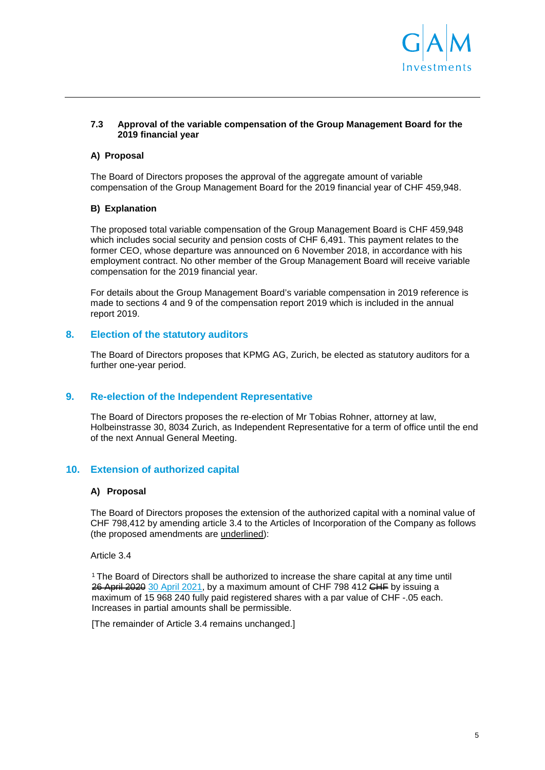

#### **7.3 Approval of the variable compensation of the Group Management Board for the 2019 financial year**

#### **A) Proposal**

The Board of Directors proposes the approval of the aggregate amount of variable compensation of the Group Management Board for the 2019 financial year of CHF 459,948.

#### **B) Explanation**

The proposed total variable compensation of the Group Management Board is CHF 459,948 which includes social security and pension costs of CHF 6,491. This payment relates to the former CEO, whose departure was announced on 6 November 2018, in accordance with his employment contract. No other member of the Group Management Board will receive variable compensation for the 2019 financial year.

For details about the Group Management Board's variable compensation in 2019 reference is made to sections 4 and 9 of the compensation report 2019 which is included in the annual report 2019.

# **8. Election of the statutory auditors**

The Board of Directors proposes that KPMG AG, Zurich, be elected as statutory auditors for a further one-year period.

#### **9. Re-election of the Independent Representative**

The Board of Directors proposes the re-election of Mr Tobias Rohner, attorney at law, Holbeinstrasse 30, 8034 Zurich, as Independent Representative for a term of office until the end of the next Annual General Meeting.

# **10. Extension of authorized capital**

#### **A) Proposal**

The Board of Directors proposes the extension of the authorized capital with a nominal value of CHF 798,412 by amending article 3.4 to the Articles of Incorporation of the Company as follows (the proposed amendments are underlined):

Article 3.4

<sup>1</sup>The Board of Directors shall be authorized to increase the share capital at any time until 26 April 2020 30 April 2021, by a maximum amount of CHF 798 412 CHF by issuing a maximum of 15 968 240 fully paid registered shares with a par value of CHF -.05 each. Increases in partial amounts shall be permissible.

[The remainder of Article 3.4 remains unchanged.]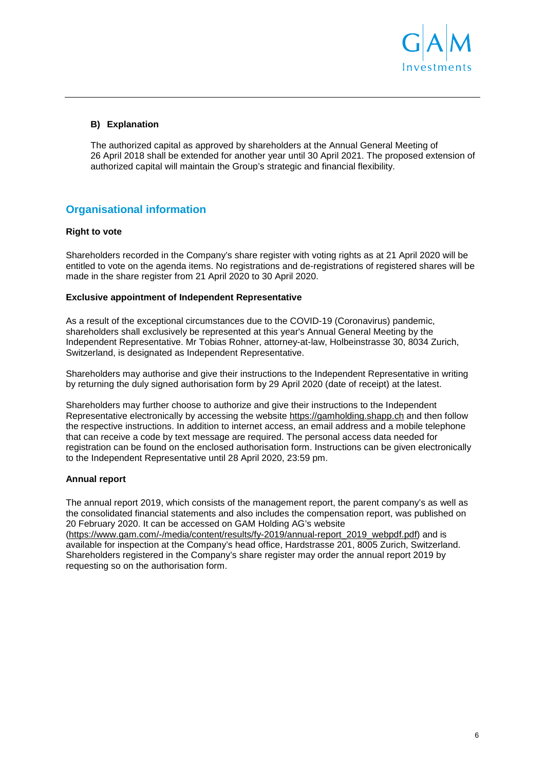

# **B) Explanation**

The authorized capital as approved by shareholders at the Annual General Meeting of 26 April 2018 shall be extended for another year until 30 April 2021. The proposed extension of authorized capital will maintain the Group's strategic and financial flexibility.

# **Organisational information**

#### **Right to vote**

Shareholders recorded in the Company's share register with voting rights as at 21 April 2020 will be entitled to vote on the agenda items. No registrations and de-registrations of registered shares will be made in the share register from 21 April 2020 to 30 April 2020.

#### **Exclusive appointment of Independent Representative**

As a result of the exceptional circumstances due to the COVID-19 (Coronavirus) pandemic, shareholders shall exclusively be represented at this year's Annual General Meeting by the Independent Representative. Mr Tobias Rohner, attorney-at-law, Holbeinstrasse 30, 8034 Zurich, Switzerland, is designated as Independent Representative.

Shareholders may authorise and give their instructions to the Independent Representative in writing by returning the duly signed authorisation form by 29 April 2020 (date of receipt) at the latest.

Shareholders may further choose to authorize and give their instructions to the Independent Representative electronically by accessing the website https://gamholding.shapp.ch and then follow the respective instructions. In addition to internet access, an email address and a mobile telephone that can receive a code by text message are required. The personal access data needed for registration can be found on the enclosed authorisation form. Instructions can be given electronically to the Independent Representative until 28 April 2020, 23:59 pm.

#### **Annual report**

The annual report 2019, which consists of the management report, the parent company's as well as the consolidated financial statements and also includes the compensation report, was published on 20 February 2020. It can be accessed on GAM Holding AG's website (https://www.gam.com/-/media/content/results/fy-2019/annual-report\_2019\_webpdf.pdf) and is available for inspection at the Company's head office, Hardstrasse 201, 8005 Zurich, Switzerland. Shareholders registered in the Company's share register may order the annual report 2019 by requesting so on the authorisation form.